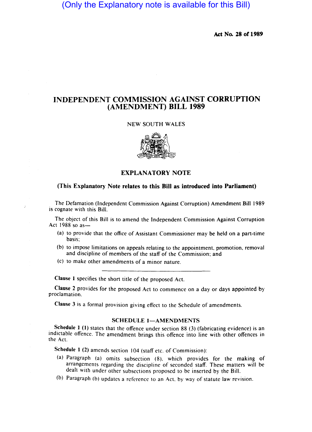# (Only the Explanatory note is available for this Bill)

Act No. 28 or 1989

## INDEPENDENT COMMISSION AGAINST CORRUPTION (AMENDMENT) BILL 1989

#### NEW SOUTH WALES



## EXPLANATORY NOTE

### (This Explanatory Note relates to this Bill as introduced into Parliament)

The Defamation (Independent Commission Against Corruption) Amendment Bill 1989 is cognate with this Bill.

The object of this Bill is to amend the Independent Commission Against Corruption Act 1988 so as-

- (a) to provide that the office of Assistant Commissioner may be held on a part-time basis;
- (b) to impose limitations on appeals relating to the appointment. promotion. removal and discipline of members of the staff of the Commission; and
- (c) to make other amendments of a minor nature.

Clause 1 specifies the short title of the proposed Act.

Clause 2 provides for the proposed Act to commence on a day or days appointed by proclamation.

Clause 3 is a formal provision giving effect to the Schedule of amendments.

#### SCHEDULE 1-AMENDMENTS

Schedule 1 (1) states that the offence under section 88 (3) (fabricating evidence) is an indictable offence. The amendment brings this offence into line with other offences in the Act.

Schedule 1 (2) amends section 104 (staff etc. of Commission):

- (a) Paragraph (a) omits subsection (8). which provides for the making of arrangements regarding the discipline of seconded staff. These matters will be dealt with under other subsections proposed to be inserted by the Bill.
- (b) Paragraph (b) updates a reference to an Act. by way of statute law revision.